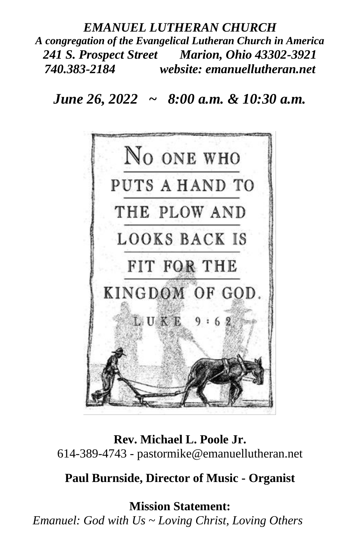# *EMANUEL LUTHERAN CHURCH A congregation of the Evangelical Lutheran Church in America 241 S. Prospect Street Marion, Ohio 43302-3921 740.383-2184 website: emanuellutheran.net*

# *June 26, 2022 ~ 8:00 a.m. & 10:30 a.m.*



**Rev. Michael L. Poole Jr.** 614-389-4743 - pastormike@emanuellutheran.net

### **Paul Burnside, Director of Music - Organist**

**Mission Statement:** *Emanuel: God with Us ~ Loving Christ, Loving Others*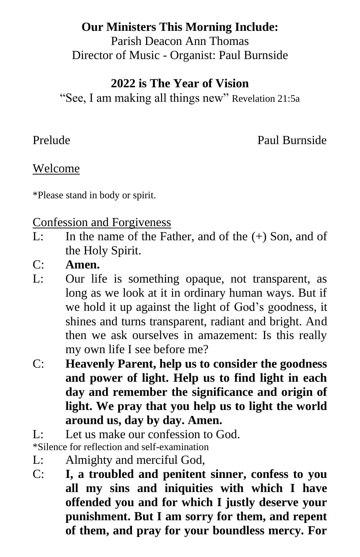# **Our Ministers This Morning Include:**

Parish Deacon Ann Thomas Director of Music - Organist: Paul Burnside

# **2022 is The Year of Vision**

"See, I am making all things new" Revelation 21:5a

Prelude Paul Burnside

# Welcome

\*Please stand in body or spirit.

### Confession and Forgiveness

- L: In the name of the Father, and of the (+) Son, and of the Holy Spirit.
- C: **Amen.**
- L: Our life is something opaque, not transparent, as long as we look at it in ordinary human ways. But if we hold it up against the light of God's goodness, it shines and turns transparent, radiant and bright. And then we ask ourselves in amazement: Is this really my own life I see before me?
- C: **Heavenly Parent, help us to consider the goodness and power of light. Help us to find light in each day and remember the significance and origin of light. We pray that you help us to light the world around us, day by day. Amen.**
- $L:$  Let us make our confession to God.

\*Silence for reflection and self-examination

- L: Almighty and merciful God,
- C: **I, a troubled and penitent sinner, confess to you all my sins and iniquities with which I have offended you and for which I justly deserve your punishment. But I am sorry for them, and repent of them, and pray for your boundless mercy. For**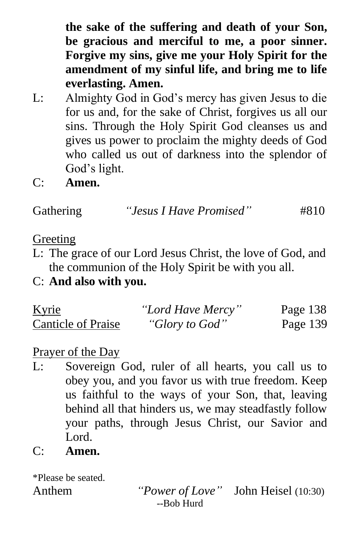**the sake of the suffering and death of your Son, be gracious and merciful to me, a poor sinner. Forgive my sins, give me your Holy Spirit for the amendment of my sinful life, and bring me to life everlasting. Amen.**

- L: Almighty God in God's mercy has given Jesus to die for us and, for the sake of Christ, forgives us all our sins. Through the Holy Spirit God cleanses us and gives us power to proclaim the mighty deeds of God who called us out of darkness into the splendor of God's light.
- C: **Amen.**

Gathering *"Jesus I Have Promised"* #810

### **Greeting**

- L: The grace of our Lord Jesus Christ, the love of God, and the communion of the Holy Spirit be with you all.
- C: **And also with you.**

| <u>Kyrie</u>              | "Lord Have Mercy" | Page 138 |
|---------------------------|-------------------|----------|
| <b>Canticle of Praise</b> | "Glory to God"    | Page 139 |

### Prayer of the Day

- L: Sovereign God, ruler of all hearts, you call us to obey you, and you favor us with true freedom. Keep us faithful to the ways of your Son, that, leaving behind all that hinders us, we may steadfastly follow your paths, through Jesus Christ, our Savior and Lord.
- C: **Amen.**

\*Please be seated.

Anthem *"Power of Love"* John Heisel (10:30) --Bob Hurd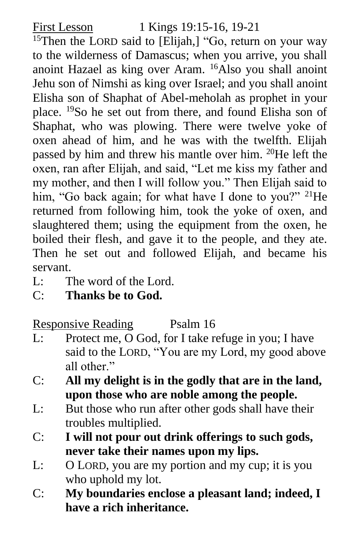<sup>15</sup>Then the LORD said to [Elijah,] "Go, return on your way to the wilderness of Damascus; when you arrive, you shall anoint Hazael as king over Aram. <sup>16</sup>Also you shall anoint Jehu son of Nimshi as king over Israel; and you shall anoint Elisha son of Shaphat of Abel-meholah as prophet in your place. <sup>19</sup>So he set out from there, and found Elisha son of Shaphat, who was plowing. There were twelve yoke of oxen ahead of him, and he was with the twelfth. Elijah passed by him and threw his mantle over him. <sup>20</sup>He left the oxen, ran after Elijah, and said, "Let me kiss my father and my mother, and then I will follow you." Then Elijah said to him, "Go back again; for what have I done to you?" <sup>21</sup>He returned from following him, took the yoke of oxen, and slaughtered them; using the equipment from the oxen, he boiled their flesh, and gave it to the people, and they ate. Then he set out and followed Elijah, and became his servant.

- L: The word of the Lord.
- C: **Thanks be to God.**

Responsive Reading Psalm 16

- L: Protect me, O God, for I take refuge in you; I have said to the LORD, "You are my Lord, my good above all other"
- C: **All my delight is in the godly that are in the land, upon those who are noble among the people.**
- L: But those who run after other gods shall have their troubles multiplied.
- C: **I will not pour out drink offerings to such gods, never take their names upon my lips.**
- L: O LORD, you are my portion and my cup; it is you who uphold my lot.
- C: **My boundaries enclose a pleasant land; indeed, I have a rich inheritance.**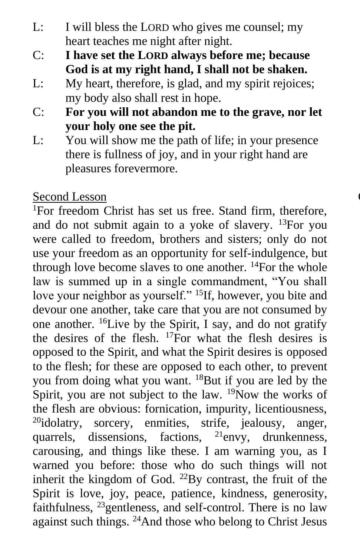- L: I will bless the LORD who gives me counsel; my heart teaches me night after night.
- C: **I have set the LORD always before me; because God is at my right hand, I shall not be shaken.**
- L: My heart, therefore, is glad, and my spirit rejoices; my body also shall rest in hope.
- C: **For you will not abandon me to the grave, nor let your holy one see the pit.**
- L: You will show me the path of life; in your presence there is fullness of joy, and in your right hand are pleasures forevermore.

# Second Lesson

<sup>1</sup>For freedom Christ has set us free. Stand firm, therefore, and do not submit again to a yoke of slavery. <sup>13</sup>For you were called to freedom, brothers and sisters; only do not use your freedom as an opportunity for self-indulgence, but through love become slaves to one another. <sup>14</sup>For the whole law is summed up in a single commandment, "You shall love your neighbor as yourself." <sup>15</sup>If, however, you bite and devour one another, take care that you are not consumed by one another. <sup>16</sup>Live by the Spirit, I say, and do not gratify the desires of the flesh.  $^{17}$ For what the flesh desires is opposed to the Spirit, and what the Spirit desires is opposed to the flesh; for these are opposed to each other, to prevent you from doing what you want. <sup>18</sup>But if you are led by the Spirit, you are not subject to the law.  $^{19}$ Now the works of the flesh are obvious: fornication, impurity, licentiousness, <sup>20</sup>idolatry, sorcery, enmities, strife, jealousy, anger, quarrels, dissensions, factions, <sup>21</sup>envy, drunkenness, carousing, and things like these. I am warning you, as I warned you before: those who do such things will not inherit the kingdom of God.  $^{22}$ By contrast, the fruit of the Spirit is love, joy, peace, patience, kindness, generosity, faithfulness, <sup>23</sup>gentleness, and self-control. There is no law against such things. 24And those who belong to Christ Jesus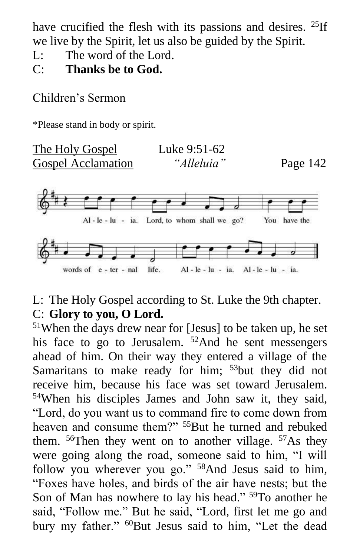have crucified the flesh with its passions and desires. <sup>25</sup>If we live by the Spirit, let us also be guided by the Spirit.

- L: The word of the Lord.
- C: **Thanks be to God.**

Children's Sermon

\*Please stand in body or spirit.



# L: The Holy Gospel according to St. Luke the 9th chapter. C: **Glory to you, O Lord.**

<sup>51</sup>When the days drew near for [Jesus] to be taken up, he set his face to go to Jerusalem. <sup>52</sup>And he sent messengers ahead of him. On their way they entered a village of the Samaritans to make ready for him;  $53$ but they did not receive him, because his face was set toward Jerusalem. <sup>54</sup>When his disciples James and John saw it, they said, "Lord, do you want us to command fire to come down from heaven and consume them?" <sup>55</sup>But he turned and rebuked them.  $56$ Then they went on to another village.  $57$ As they were going along the road, someone said to him, "I will follow you wherever you go." <sup>58</sup>And Jesus said to him, "Foxes have holes, and birds of the air have nests; but the Son of Man has nowhere to lay his head." <sup>59</sup>To another he said, "Follow me." But he said, "Lord, first let me go and bury my father." <sup>60</sup>But Jesus said to him, "Let the dead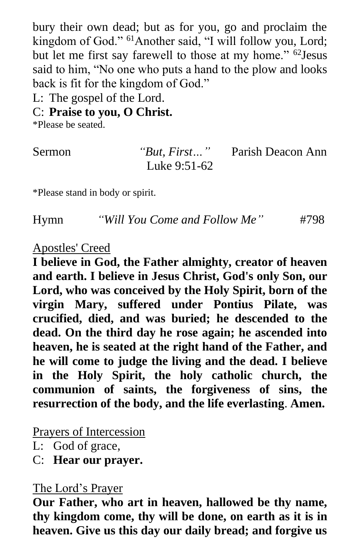bury their own dead; but as for you, go and proclaim the kingdom of God." <sup>61</sup>Another said, "I will follow you, Lord; but let me first say farewell to those at my home." <sup>62</sup>Jesus said to him, "No one who puts a hand to the plow and looks back is fit for the kingdom of God."

L: The gospel of the Lord.

### C: **Praise to you, O Christ.**

\*Please be seated.

"But, First..." Parish Deacon Ann Luke 9:51-62

\*Please stand in body or spirit.

Hymn *"Will You Come and Follow Me"* #798

#### Apostles' Creed

**I believe in God, the Father almighty, creator of heaven and earth. I believe in Jesus Christ, God's only Son, our Lord, who was conceived by the Holy Spirit, born of the virgin Mary, suffered under Pontius Pilate, was crucified, died, and was buried; he descended to the dead. On the third day he rose again; he ascended into heaven, he is seated at the right hand of the Father, and he will come to judge the living and the dead. I believe in the Holy Spirit, the holy catholic church, the communion of saints, the forgiveness of sins, the resurrection of the body, and the life everlasting**. **Amen.**

#### Prayers of Intercession

L: God of grace,

C: **Hear our prayer.**

# The Lord's Prayer

**Our Father, who art in heaven, hallowed be thy name, thy kingdom come, thy will be done, on earth as it is in heaven. Give us this day our daily bread; and forgive us**